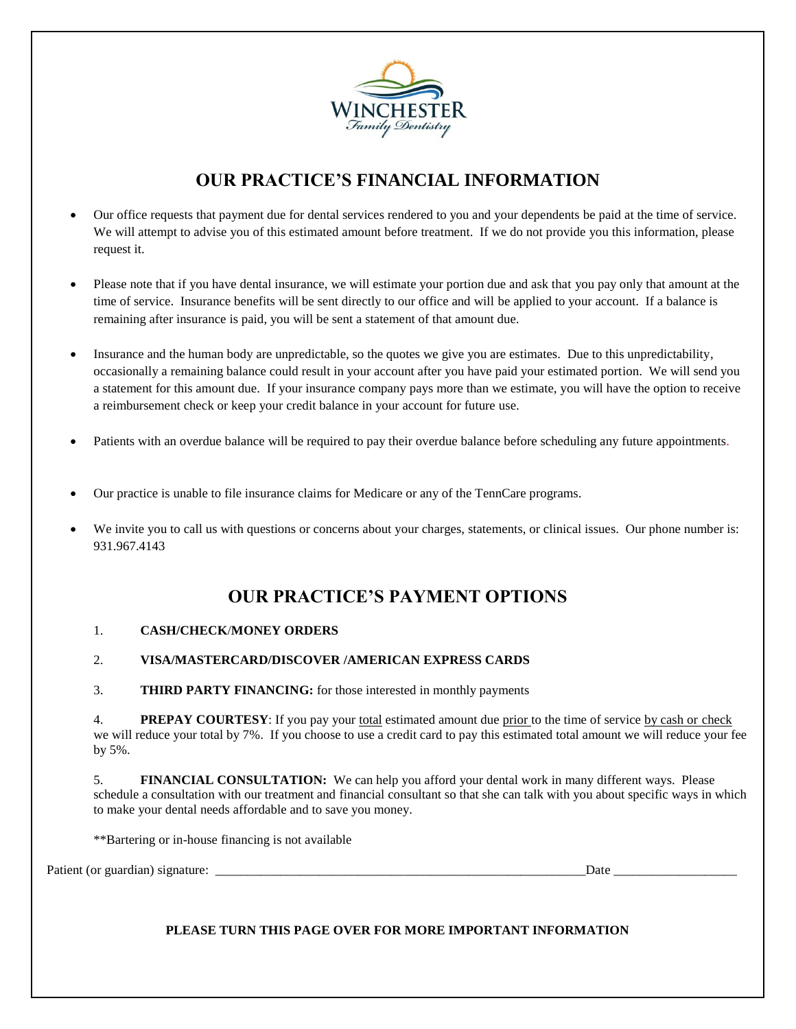

# **OUR PRACTICE'S FINANCIAL INFORMATION**

- Our office requests that payment due for dental services rendered to you and your dependents be paid at the time of service. We will attempt to advise you of this estimated amount before treatment. If we do not provide you this information, please request it.
- Please note that if you have dental insurance, we will estimate your portion due and ask that you pay only that amount at the time of service. Insurance benefits will be sent directly to our office and will be applied to your account. If a balance is remaining after insurance is paid, you will be sent a statement of that amount due.
- Insurance and the human body are unpredictable, so the quotes we give you are estimates. Due to this unpredictability, occasionally a remaining balance could result in your account after you have paid your estimated portion. We will send you a statement for this amount due. If your insurance company pays more than we estimate, you will have the option to receive a reimbursement check or keep your credit balance in your account for future use.
- Patients with an overdue balance will be required to pay their overdue balance before scheduling any future appointments.
- Our practice is unable to file insurance claims for Medicare or any of the TennCare programs.
- We invite you to call us with questions or concerns about your charges, statements, or clinical issues. Our phone number is: 931.967.4143

### **OUR PRACTICE'S PAYMENT OPTIONS**

#### 1. **CASH/CHECK**/**MONEY ORDERS**

#### 2. **VISA/MASTERCARD/DISCOVER /AMERICAN EXPRESS CARDS**

3. **THIRD PARTY FINANCING:** for those interested in monthly payments

4. **PREPAY COURTESY**: If you pay your total estimated amount due prior to the time of service by cash or check we will reduce your total by 7%. If you choose to use a credit card to pay this estimated total amount we will reduce your fee by 5%.

5. **FINANCIAL CONSULTATION:** We can help you afford your dental work in many different ways. Please schedule a consultation with our treatment and financial consultant so that she can talk with you about specific ways in which to make your dental needs affordable and to save you money.

\*\*Bartering or in-house financing is not available

Patient (or guardian) signature: \_\_\_\_\_\_\_\_\_\_\_\_\_\_\_\_\_\_\_\_\_\_\_\_\_\_\_\_\_\_\_\_\_\_\_\_\_\_\_\_\_\_\_\_\_\_\_\_\_\_\_\_\_\_\_\_\_Date \_\_\_\_\_\_\_\_\_\_\_\_\_\_\_\_\_\_\_

**PLEASE TURN THIS PAGE OVER FOR MORE IMPORTANT INFORMATION**